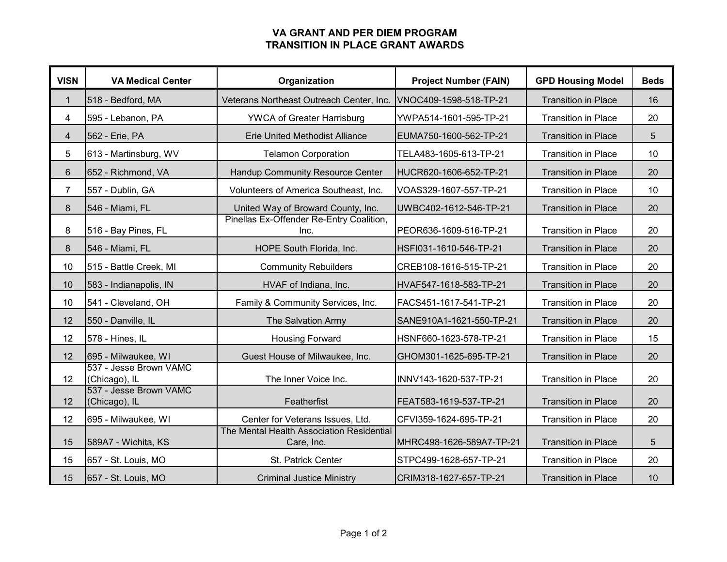## **VA GRANT AND PER DIEM PROGRAM TRANSITION IN PLACE GRANT AWARDS**

| <b>VISN</b>             | <b>VA Medical Center</b>                | Organization                                            | <b>Project Number (FAIN)</b> | <b>GPD Housing Model</b>   | <b>Beds</b> |
|-------------------------|-----------------------------------------|---------------------------------------------------------|------------------------------|----------------------------|-------------|
| $\mathbf{1}$            | 518 - Bedford, MA                       | Veterans Northeast Outreach Center, Inc.                | VNOC409-1598-518-TP-21       | <b>Transition in Place</b> | 16          |
| 4                       | 595 - Lebanon, PA                       | <b>YWCA of Greater Harrisburg</b>                       | YWPA514-1601-595-TP-21       | <b>Transition in Place</b> | 20          |
| $\overline{\mathbf{4}}$ | 562 - Erie, PA                          | <b>Erie United Methodist Alliance</b>                   | EUMA750-1600-562-TP-21       | <b>Transition in Place</b> | 5           |
| 5                       | 613 - Martinsburg, WV                   | <b>Telamon Corporation</b>                              | TELA483-1605-613-TP-21       | <b>Transition in Place</b> | 10          |
| 6                       | 652 - Richmond, VA                      | Handup Community Resource Center                        | HUCR620-1606-652-TP-21       | <b>Transition in Place</b> | 20          |
| $\overline{7}$          | 557 - Dublin, GA                        | Volunteers of America Southeast, Inc.                   | VOAS329-1607-557-TP-21       | <b>Transition in Place</b> | 10          |
| $\bf 8$                 | 546 - Miami, FL                         | United Way of Broward County, Inc.                      | UWBC402-1612-546-TP-21       | <b>Transition in Place</b> | 20          |
| 8                       | 516 - Bay Pines, FL                     | Pinellas Ex-Offender Re-Entry Coalition,<br>Inc.        | PEOR636-1609-516-TP-21       | <b>Transition in Place</b> | 20          |
| 8                       | 546 - Miami, FL                         | HOPE South Florida, Inc.                                | HSFI031-1610-546-TP-21       | <b>Transition in Place</b> | 20          |
| 10                      | 515 - Battle Creek, MI                  | <b>Community Rebuilders</b>                             | CREB108-1616-515-TP-21       | <b>Transition in Place</b> | 20          |
| 10                      | 583 - Indianapolis, IN                  | HVAF of Indiana, Inc.                                   | HVAF547-1618-583-TP-21       | <b>Transition in Place</b> | 20          |
| 10                      | 541 - Cleveland, OH                     | Family & Community Services, Inc.                       | FACS451-1617-541-TP-21       | <b>Transition in Place</b> | 20          |
| 12                      | 550 - Danville, IL                      | The Salvation Army                                      | SANE910A1-1621-550-TP-21     | <b>Transition in Place</b> | 20          |
| 12                      | 578 - Hines, IL                         | <b>Housing Forward</b>                                  | HSNF660-1623-578-TP-21       | <b>Transition in Place</b> | 15          |
| 12                      | 695 - Milwaukee, WI                     | Guest House of Milwaukee, Inc.                          | GHOM301-1625-695-TP-21       | <b>Transition in Place</b> | 20          |
| 12                      | 537 - Jesse Brown VAMC<br>(Chicago), IL | The Inner Voice Inc.                                    | INNV143-1620-537-TP-21       | <b>Transition in Place</b> | 20          |
| 12                      | 537 - Jesse Brown VAMC<br>(Chicago), IL | Featherfist                                             | FEAT583-1619-537-TP-21       | <b>Transition in Place</b> | 20          |
| 12                      | 695 - Milwaukee, WI                     | Center for Veterans Issues, Ltd.                        | CFVI359-1624-695-TP-21       | <b>Transition in Place</b> | 20          |
| 15                      | 589A7 - Wichita, KS                     | The Mental Health Association Residential<br>Care, Inc. | MHRC498-1626-589A7-TP-21     | <b>Transition in Place</b> | 5           |
| 15                      | 657 - St. Louis, MO                     | St. Patrick Center                                      | STPC499-1628-657-TP-21       | <b>Transition in Place</b> | 20          |
| 15                      | 657 - St. Louis, MO                     | <b>Criminal Justice Ministry</b>                        | CRIM318-1627-657-TP-21       | <b>Transition in Place</b> | 10          |